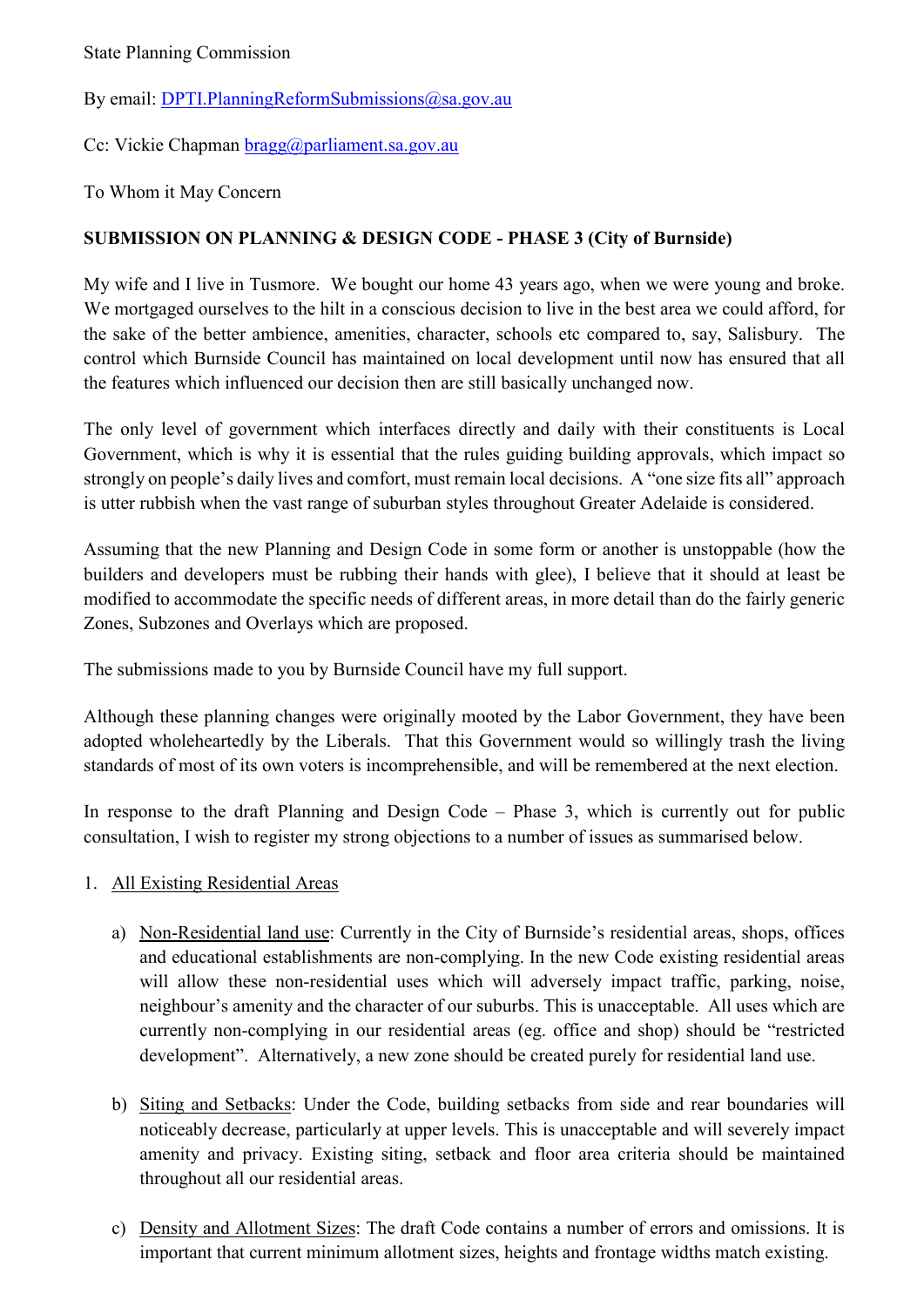### By email: [DPTI.PlanningReformSubmissions@sa.gov.au](mailto:DPTI.PlanningReformSubmissions@sa.gov.au)

Cc: Vickie Chapman [bragg@parliament.sa.gov.au](mailto:bragg@parliament.sa.gov.au)

To Whom it May Concern

## **SUBMISSION ON PLANNING & DESIGN CODE - PHASE 3 (City of Burnside)**

My wife and I live in Tusmore. We bought our home 43 years ago, when we were young and broke. We mortgaged ourselves to the hilt in a conscious decision to live in the best area we could afford, for the sake of the better ambience, amenities, character, schools etc compared to, say, Salisbury. The control which Burnside Council has maintained on local development until now has ensured that all the features which influenced our decision then are still basically unchanged now.

The only level of government which interfaces directly and daily with their constituents is Local Government, which is why it is essential that the rules guiding building approvals, which impact so strongly on people's daily lives and comfort, must remain local decisions. A "one size fits all" approach is utter rubbish when the vast range of suburban styles throughout Greater Adelaide is considered.

Assuming that the new Planning and Design Code in some form or another is unstoppable (how the builders and developers must be rubbing their hands with glee), I believe that it should at least be modified to accommodate the specific needs of different areas, in more detail than do the fairly generic Zones, Subzones and Overlays which are proposed.

The submissions made to you by Burnside Council have my full support.

Although these planning changes were originally mooted by the Labor Government, they have been adopted wholeheartedly by the Liberals. That this Government would so willingly trash the living standards of most of its own voters is incomprehensible, and will be remembered at the next election.

In response to the draft Planning and Design Code – Phase 3, which is currently out for public consultation, I wish to register my strong objections to a number of issues as summarised below.

## 1. All Existing Residential Areas

- a) Non-Residential land use: Currently in the City of Burnside's residential areas, shops, offices and educational establishments are non-complying. In the new Code existing residential areas will allow these non-residential uses which will adversely impact traffic, parking, noise, neighbour's amenity and the character of our suburbs. This is unacceptable. All uses which are currently non-complying in our residential areas (eg. office and shop) should be "restricted development". Alternatively, a new zone should be created purely for residential land use.
- b) Siting and Setbacks: Under the Code, building setbacks from side and rear boundaries will noticeably decrease, particularly at upper levels. This is unacceptable and will severely impact amenity and privacy. Existing siting, setback and floor area criteria should be maintained throughout all our residential areas.
- c) Density and Allotment Sizes: The draft Code contains a number of errors and omissions. It is important that current minimum allotment sizes, heights and frontage widths match existing.